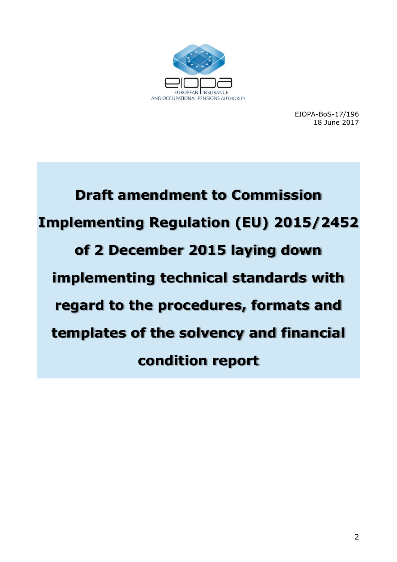

EIOPA-BoS-17/196 18 June 2017

**Draft amendment to Commission Implementing Regulation (EU) 2015/2452 of 2 December 2015 laying down implementing technical standards with regard to the procedures, formats and templates of the solvency and financial condition report**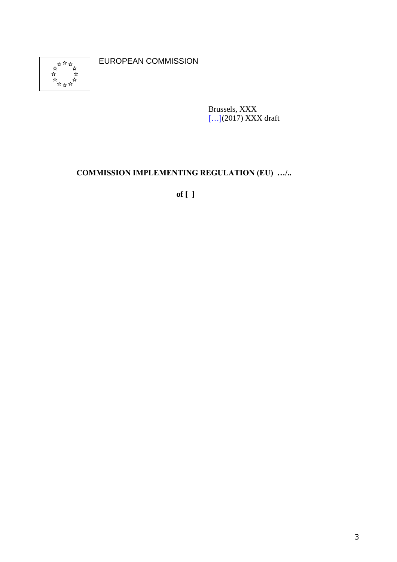

EUROPEAN COMMISSION

Brussels, XXX [...](2017) XXX draft

# **COMMISSION IMPLEMENTING REGULATION (EU) …/..**

**of [ ]**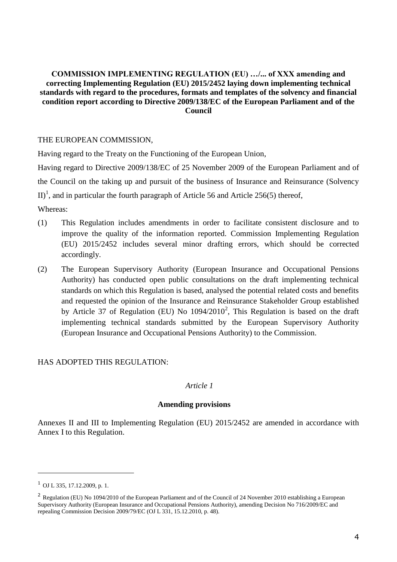#### **COMMISSION IMPLEMENTING REGULATION (EU) …/... of XXX amending and correcting Implementing Regulation (EU) 2015/2452 laying down implementing technical standards with regard to the procedures, formats and templates of the solvency and financial condition report according to Directive 2009/138/EC of the European Parliament and of the Council**

#### THE EUROPEAN COMMISSION,

Having regard to the Treaty on the Functioning of the European Union,

Having regard to Directive 2009/138/EC of 25 November 2009 of the European Parliament and of the Council on the taking up and pursuit of the business of Insurance and Reinsurance (Solvency II)<sup>1</sup>, and in particular the fourth paragraph of Article 56 and Article 256(5) thereof,

Whereas:

- (1) This Regulation includes amendments in order to facilitate consistent disclosure and to improve the quality of the information reported. Commission Implementing Regulation (EU) 2015/2452 includes several minor drafting errors, which should be corrected accordingly.
- (2) The European Supervisory Authority (European Insurance and Occupational Pensions Authority) has conducted open public consultations on the draft implementing technical standards on which this Regulation is based, analysed the potential related costs and benefits and requested the opinion of the Insurance and Reinsurance Stakeholder Group established by Article 37 of Regulation (EU) No  $1094/2010^2$ , This Regulation is based on the draft implementing technical standards submitted by the European Supervisory Authority (European Insurance and Occupational Pensions Authority) to the Commission.

#### HAS ADOPTED THIS REGULATION:

#### *Article 1*

#### **Amending provisions**

Annexes II and III to Implementing Regulation (EU) 2015/2452 are amended in accordance with Annex I to this Regulation.

<u>.</u>

 $^{1}$  OJ L 335, 17, 12, 2009, p. 1.

<sup>&</sup>lt;sup>2</sup> Regulation (EU) No 1094/2010 of the European Parliament and of the Council of 24 November 2010 establishing a European Supervisory Authority (European Insurance and Occupational Pensions Authority), amending Decision No 716/2009/EC and repealing Commission Decision 2009/79/EC (OJ L 331, 15.12.2010, p. 48).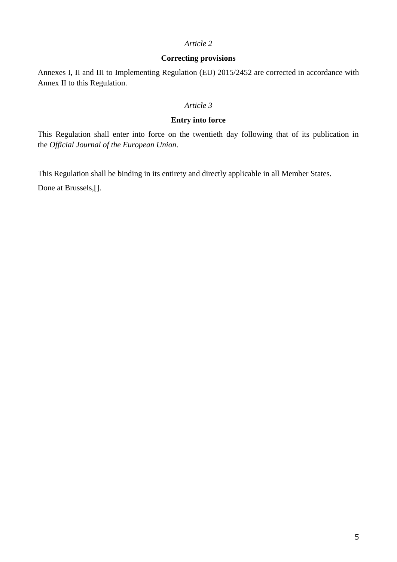#### *Article 2*

#### **Correcting provisions**

Annexes I, II and III to Implementing Regulation (EU) 2015/2452 are corrected in accordance with Annex II to this Regulation.

#### *Article 3*

#### **Entry into force**

This Regulation shall enter into force on the twentieth day following that of its publication in the *Official Journal of the European Union*.

This Regulation shall be binding in its entirety and directly applicable in all Member States.

Done at Brussels,[].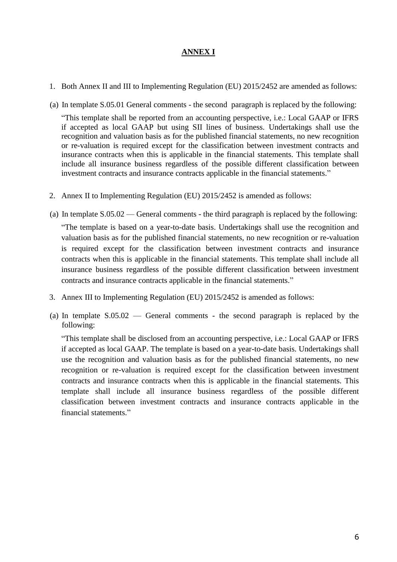## **ANNEX I**

- 1. Both Annex II and III to Implementing Regulation (EU) 2015/2452 are amended as follows:
- (a) In template S.05.01 General comments the second paragraph is replaced by the following:

"This template shall be reported from an accounting perspective, i.e.: Local GAAP or IFRS if accepted as local GAAP but using SII lines of business. Undertakings shall use the recognition and valuation basis as for the published financial statements, no new recognition or re-valuation is required except for the classification between investment contracts and insurance contracts when this is applicable in the financial statements. This template shall include all insurance business regardless of the possible different classification between investment contracts and insurance contracts applicable in the financial statements."

- 2. Annex II to Implementing Regulation (EU) 2015/2452 is amended as follows:
- (a) In template S.05.02 General comments the third paragraph is replaced by the following:

"The template is based on a year-to-date basis. Undertakings shall use the recognition and valuation basis as for the published financial statements, no new recognition or re-valuation is required except for the classification between investment contracts and insurance contracts when this is applicable in the financial statements. This template shall include all insurance business regardless of the possible different classification between investment contracts and insurance contracts applicable in the financial statements."

- 3. Annex III to Implementing Regulation (EU) 2015/2452 is amended as follows:
- (a) In template S.05.02 General comments the second paragraph is replaced by the following:

"This template shall be disclosed from an accounting perspective, i.e.: Local GAAP or IFRS if accepted as local GAAP. The template is based on a year-to-date basis. Undertakings shall use the recognition and valuation basis as for the published financial statements, no new recognition or re-valuation is required except for the classification between investment contracts and insurance contracts when this is applicable in the financial statements. This template shall include all insurance business regardless of the possible different classification between investment contracts and insurance contracts applicable in the financial statements."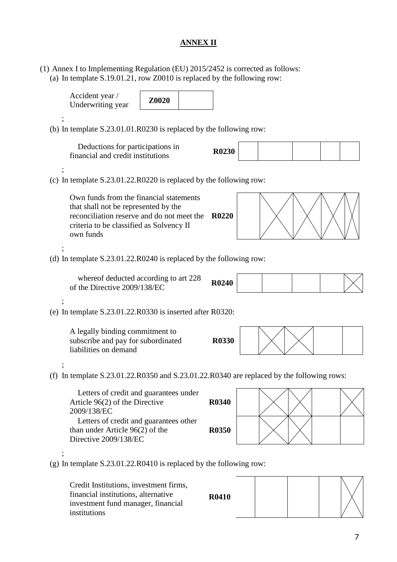# **ANNEX II**

(1) Annex I to Implementing Regulation (EU) 2015/2452 is corrected as follows: (a) In template S.19.01.21, row Z0010 is replaced by the following row:

| Accident year /<br>Underwriting year                                                                                                                                                   | Z0020 |              |  |  |  |
|----------------------------------------------------------------------------------------------------------------------------------------------------------------------------------------|-------|--------------|--|--|--|
| (b) In template $S.23.01.01.R0230$ is replaced by the following row:                                                                                                                   |       |              |  |  |  |
| Deductions for participations in<br>financial and credit institutions                                                                                                                  |       | <b>R0230</b> |  |  |  |
| (c) In template $S.23.01.22.R0220$ is replaced by the following row:                                                                                                                   |       |              |  |  |  |
| Own funds from the financial statements<br>that shall not be represented by the<br>reconciliation reserve and do not meet the<br>criteria to be classified as Solvency II<br>own funds |       | <b>R0220</b> |  |  |  |
| (d) In template $S.23.01.22.R0240$ is replaced by the following row:                                                                                                                   |       |              |  |  |  |
| whereof deducted according to art 228<br>of the Directive 2009/138/EC                                                                                                                  |       | <b>R0240</b> |  |  |  |
| (e) In template $S.23.01.22.R0330$ is inserted after R0320:                                                                                                                            |       |              |  |  |  |
| A legally binding commitment to<br>subscribe and pay for subordinated<br>liabilities on demand                                                                                         |       | <b>R0330</b> |  |  |  |
| (f) In template $S.23.01.22.R0350$ and $S.23.01.22.R0340$ are replaced by the following rows:                                                                                          |       |              |  |  |  |
| Letters of credit and guarantees under<br>Article $96(2)$ of the Directive<br>2009/138/EC                                                                                              |       | <b>R0340</b> |  |  |  |
| Letters of credit and guarantees other<br>than under Article 96(2) of the<br>Directive 2009/138/EC                                                                                     |       | <b>R0350</b> |  |  |  |
| (g) In template $S.23.01.22.R0410$ is replaced by the following row:                                                                                                                   |       |              |  |  |  |
| Credit Institutions, investment firms,<br>financial institutions, alternative<br>investment fund manager, financial<br>institutions                                                    |       | <b>R0410</b> |  |  |  |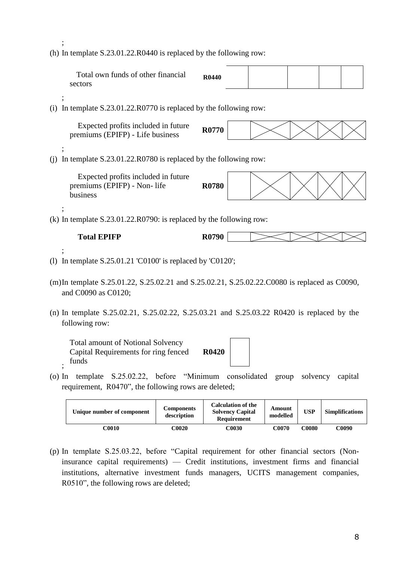(h) In template S.23.01.22.R0440 is replaced by the following row:

;

| Total own funds of other financial<br>sectors                                                                       | R <sub>0440</sub> |  |  |  |  |  |
|---------------------------------------------------------------------------------------------------------------------|-------------------|--|--|--|--|--|
| (i) In template $S.23.01.22.R0770$ is replaced by the following row:                                                |                   |  |  |  |  |  |
| Expected profits included in future<br>premiums (EPIFP) - Life business                                             | R0770             |  |  |  |  |  |
| In template S.23.01.22.R0780 is replaced by the following row:<br>(i)                                               |                   |  |  |  |  |  |
| Expected profits included in future<br>premiums (EPIFP) - Non- life<br>business                                     | <b>R0780</b>      |  |  |  |  |  |
| (k) In template $S.23.01.22.R0790$ : is replaced by the following row:                                              |                   |  |  |  |  |  |
| <b>Total EPIFP</b>                                                                                                  | R0790             |  |  |  |  |  |
| (1) In template $S.25.01.21$ 'C0100' is replaced by 'C0120';                                                        |                   |  |  |  |  |  |
| (m)In template S.25.01.22, S.25.02.21 and S.25.02.21, S.25.02.22.C0080 is replaced as C0090,<br>and C0090 as C0120; |                   |  |  |  |  |  |
| (n) In template S.25.02.21, S.25.02.22, S.25.03.21 and S.25.03.22 R0420 is replaced by the<br>following row:        |                   |  |  |  |  |  |
| <b>Total amount of Notional Solvency</b><br>Capital Requirements for ring fenced<br>funds                           | <b>R0420</b>      |  |  |  |  |  |

(o) In template S.25.02.22, before "Minimum consolidated group solvency capital requirement, R0470", the following rows are deleted;

| Unique number of component | Components<br>description | <b>Calculation of the</b><br><b>Solvency Capital</b><br>Requirement | Amount<br>modelled | <b>USP</b> | <b>Simplifications</b> |
|----------------------------|---------------------------|---------------------------------------------------------------------|--------------------|------------|------------------------|
| C0010                      | <b>COO2O</b>              | <b>COO30</b>                                                        | C0070              | C0080      | C0090                  |

(p) In template S.25.03.22, before "Capital requirement for other financial sectors (Noninsurance capital requirements) — Credit institutions, investment firms and financial institutions, alternative investment funds managers, UCITS management companies, R0510", the following rows are deleted;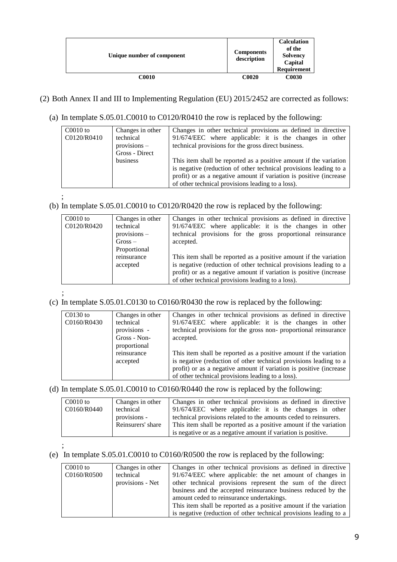| Unique number of component | <b>Components</b><br>description | <b>Calculation</b><br>of the<br><b>Solvency</b><br>Capital<br>Requirement |
|----------------------------|----------------------------------|---------------------------------------------------------------------------|
| <b>C0010</b>               | <b>C0020</b>                     | <b>C0030</b>                                                              |

#### (2) Both Annex II and III to Implementing Regulation (EU) 2015/2452 are corrected as follows:

(a) In template S.05.01.C0010 to C0120/R0410 the row is replaced by the following:

| $C0010$ to<br>C0120/R0410 | Changes in other<br>technical<br>$provisions -$<br>Gross - Direct | Changes in other technical provisions as defined in directive<br>91/674/EEC where applicable: it is the changes in other<br>technical provisions for the gross direct business.                                                                                   |
|---------------------------|-------------------------------------------------------------------|-------------------------------------------------------------------------------------------------------------------------------------------------------------------------------------------------------------------------------------------------------------------|
|                           | business                                                          | This item shall be reported as a positive amount if the variation<br>is negative (reduction of other technical provisions leading to a<br>profit) or as a negative amount if variation is positive (increase<br>of other technical provisions leading to a loss). |

;

## (b) In template S.05.01.C0010 to C0120/R0420 the row is replaced by the following:

| $C0010$ to<br>C0120/R0420 | Changes in other<br>technical<br>$provisions -$<br>$Gross -$<br>Proportional | Changes in other technical provisions as defined in directive<br>91/674/EEC where applicable: it is the changes in other<br>technical provisions for the gross proportional reinsurance<br>accepted.                                                              |
|---------------------------|------------------------------------------------------------------------------|-------------------------------------------------------------------------------------------------------------------------------------------------------------------------------------------------------------------------------------------------------------------|
|                           | reinsurance<br>accepted                                                      | This item shall be reported as a positive amount if the variation<br>is negative (reduction of other technical provisions leading to a<br>profit) or as a negative amount if variation is positive (increase<br>of other technical provisions leading to a loss). |

#### ; (c) In template S.05.01.C0130 to C0160/R0430 the row is replaced by the following:

| $C0130$ to<br>C0160/R0430 | Changes in other<br>technical<br>provisions - | Changes in other technical provisions as defined in directive<br>91/674/EEC where applicable: it is the changes in other<br>technical provisions for the gross non-proportional reinsurance  |
|---------------------------|-----------------------------------------------|----------------------------------------------------------------------------------------------------------------------------------------------------------------------------------------------|
|                           | Gross - Non-<br>proportional<br>reinsurance   | accepted.<br>This item shall be reported as a positive amount if the variation                                                                                                               |
|                           | accepted                                      | is negative (reduction of other technical provisions leading to a<br>profit) or as a negative amount if variation is positive (increase<br>of other technical provisions leading to a loss). |

#### (d) In template S.05.01.C0010 to C0160/R0440 the row is replaced by the following:

| $C0010$ to<br>C0160/R0440 | Changes in other<br>technical<br>provisions -<br>Reinsurers' share | Changes in other technical provisions as defined in directive<br>91/674/EEC where applicable: it is the changes in other<br>technical provisions related to the amounts ceded to reinsurers.<br>This item shall be reported as a positive amount if the variation |
|---------------------------|--------------------------------------------------------------------|-------------------------------------------------------------------------------------------------------------------------------------------------------------------------------------------------------------------------------------------------------------------|
|                           |                                                                    | is negative or as a negative amount if variation is positive.                                                                                                                                                                                                     |

#### ; (e) In template S.05.01.C0010 to C0160/R0500 the row is replaced by the following:

| $C0010$ to  | Changes in other | Changes in other technical provisions as defined in directive     |
|-------------|------------------|-------------------------------------------------------------------|
| C0160/R0500 | technical        | 91/674/EEC where applicable: the net amount of changes in         |
|             | provisions - Net | other technical provisions represent the sum of the direct        |
|             |                  | business and the accepted reinsurance business reduced by the     |
|             |                  | amount ceded to reinsurance undertakings.                         |
|             |                  | This item shall be reported as a positive amount if the variation |
|             |                  | is negative (reduction of other technical provisions leading to a |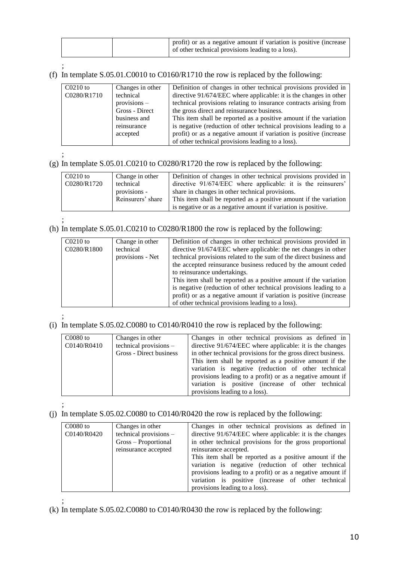|  | profit) or as a negative amount if variation is positive (increase<br>of other technical provisions leading to a loss). |
|--|-------------------------------------------------------------------------------------------------------------------------|

#### (f) In template S.05.01.C0010 to C0160/R1710 the row is replaced by the following:

| $C0210$ to  | Changes in other | Definition of changes in other technical provisions provided in    |
|-------------|------------------|--------------------------------------------------------------------|
| C0280/R1710 | technical        | directive 91/674/EEC where applicable: it is the changes in other  |
|             | $provisions -$   | technical provisions relating to insurance contracts arising from  |
|             | Gross - Direct   | the gross direct and reinsurance business.                         |
|             | business and     | This item shall be reported as a positive amount if the variation  |
|             | reinsurance      | is negative (reduction of other technical provisions leading to a  |
|             | accepted         | profit) or as a negative amount if variation is positive (increase |
|             |                  | of other technical provisions leading to a loss).                  |

;

(g) In template S.05.01.C0210 to C0280/R1720 the row is replaced by the following:

| $C0210$ to  | Change in other   | Definition of changes in other technical provisions provided in   |
|-------------|-------------------|-------------------------------------------------------------------|
| C0280/R1720 | technical         | directive 91/674/EEC where applicable: it is the reinsurers'      |
|             | provisions -      | share in changes in other technical provisions.                   |
|             | Reinsurers' share | This item shall be reported as a positive amount if the variation |
|             |                   | is negative or as a negative amount if variation is positive.     |

;

## (h) In template S.05.01.C0210 to C0280/R1800 the row is replaced by the following:

| $C0210$ to<br>C0280/R1800 | Change in other<br>technical<br>provisions - Net | Definition of changes in other technical provisions provided in<br>directive 91/674/EEC where applicable: the net changes in other<br>technical provisions related to the sum of the direct business and<br>the accepted reinsurance business reduced by the amount ceded<br>to reinsurance undertakings.<br>This item shall be reported as a positive amount if the variation<br>is negative (reduction of other technical provisions leading to a<br>profit) or as a negative amount if variation is positive (increase<br>of other technical provisions leading to a loss). |
|---------------------------|--------------------------------------------------|--------------------------------------------------------------------------------------------------------------------------------------------------------------------------------------------------------------------------------------------------------------------------------------------------------------------------------------------------------------------------------------------------------------------------------------------------------------------------------------------------------------------------------------------------------------------------------|
|---------------------------|--------------------------------------------------|--------------------------------------------------------------------------------------------------------------------------------------------------------------------------------------------------------------------------------------------------------------------------------------------------------------------------------------------------------------------------------------------------------------------------------------------------------------------------------------------------------------------------------------------------------------------------------|

;

#### (i) In template S.05.02.C0080 to C0140/R0410 the row is replaced by the following:

| $C0080$ to<br>C0140/R0410 | Changes in other<br>technical provisions $-$ | Changes in other technical provisions as defined in<br>directive 91/674/EEC where applicable: it is the changes         |
|---------------------------|----------------------------------------------|-------------------------------------------------------------------------------------------------------------------------|
|                           | Gross - Direct business                      | in other technical provisions for the gross direct business.<br>This item shall be reported as a positive amount if the |
|                           |                                              | variation is negative (reduction of other technical<br>provisions leading to a profit) or as a negative amount if       |
|                           |                                              | variation is positive (increase of other technical<br>provisions leading to a loss).                                    |

;

## (j) In template S.05.02.C0080 to C0140/R0420 the row is replaced by the following:

| $C0080$ to  | Changes in other       | Changes in other technical provisions as defined in        |
|-------------|------------------------|------------------------------------------------------------|
| C0140/R0420 | technical provisions - | directive 91/674/EEC where applicable: it is the changes   |
|             | Gross – Proportional   | in other technical provisions for the gross proportional   |
|             | reinsurance accepted   | reinsurance accepted.                                      |
|             |                        | This item shall be reported as a positive amount if the    |
|             |                        | variation is negative (reduction of other technical        |
|             |                        | provisions leading to a profit) or as a negative amount if |
|             |                        | variation is positive (increase of other technical         |
|             |                        | provisions leading to a loss).                             |

;

(k) In template S.05.02.C0080 to C0140/R0430 the row is replaced by the following: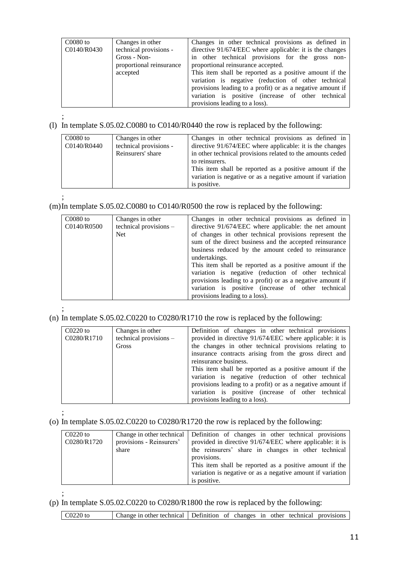| $C0080$ to  | Changes in other         | Changes in other technical provisions as defined in        |
|-------------|--------------------------|------------------------------------------------------------|
| C0140/R0430 | technical provisions -   | directive 91/674/EEC where applicable: it is the changes   |
|             | Gross - Non-             | in other technical provisions for the gross non-           |
|             | proportional reinsurance | proportional reinsurance accepted.                         |
|             | accepted                 | This item shall be reported as a positive amount if the    |
|             |                          | variation is negative (reduction of other technical        |
|             |                          | provisions leading to a profit) or as a negative amount if |
|             |                          | variation is positive (increase of other technical         |
|             |                          | provisions leading to a loss).                             |

;

#### (l) In template S.05.02.C0080 to C0140/R0440 the row is replaced by the following:

| $C0080$ to<br>C0140/R0440 | Changes in other<br>technical provisions -<br>Reinsurers' share | Changes in other technical provisions as defined in<br>directive 91/674/EEC where applicable: it is the changes<br>in other technical provisions related to the amounts ceded<br>to reinsurers.<br>This item shall be reported as a positive amount if the<br>variation is negative or as a negative amount if variation |
|---------------------------|-----------------------------------------------------------------|--------------------------------------------------------------------------------------------------------------------------------------------------------------------------------------------------------------------------------------------------------------------------------------------------------------------------|
|                           |                                                                 | is positive.                                                                                                                                                                                                                                                                                                             |

#### (m)In template S.05.02.C0080 to C0140/R0500 the row is replaced by the following:

| $C0080$ to  | Changes in other       | Changes in other technical provisions as defined in        |
|-------------|------------------------|------------------------------------------------------------|
| C0140/R0500 | technical provisions - | directive 91/674/EEC where applicable: the net amount      |
|             | Net.                   | of changes in other technical provisions represent the     |
|             |                        | sum of the direct business and the accepted reinsurance    |
|             |                        | business reduced by the amount ceded to reinsurance        |
|             |                        | undertakings.                                              |
|             |                        | This item shall be reported as a positive amount if the    |
|             |                        | variation is negative (reduction of other technical        |
|             |                        | provisions leading to a profit) or as a negative amount if |
|             |                        | variation is positive (increase of other technical         |
|             |                        | provisions leading to a loss).                             |

#### ; (n) In template S.05.02.C0220 to C0280/R1710 the row is replaced by the following:

| $C0220$ to<br>C0280/R1710 | Changes in other<br>technical provisions -<br>Gross | Definition of changes in other technical provisions<br>provided in directive 91/674/EEC where applicable: it is<br>the changes in other technical provisions relating to<br>insurance contracts arising from the gross direct and<br>reinsurance business.<br>This item shall be reported as a positive amount if the<br>variation is negative (reduction of other technical<br>provisions leading to a profit) or as a negative amount if<br>variation is positive (increase of other technical<br>provisions leading to a loss). |
|---------------------------|-----------------------------------------------------|------------------------------------------------------------------------------------------------------------------------------------------------------------------------------------------------------------------------------------------------------------------------------------------------------------------------------------------------------------------------------------------------------------------------------------------------------------------------------------------------------------------------------------|
|---------------------------|-----------------------------------------------------|------------------------------------------------------------------------------------------------------------------------------------------------------------------------------------------------------------------------------------------------------------------------------------------------------------------------------------------------------------------------------------------------------------------------------------------------------------------------------------------------------------------------------------|

;

;

## (o) In template S.05.02.C0220 to C0280/R1720 the row is replaced by the following:

| $C0220$ to  |                          | Change in other technical Definition of changes in other technical provisions |
|-------------|--------------------------|-------------------------------------------------------------------------------|
| C0280/R1720 | provisions - Reinsurers' | provided in directive 91/674/EEC where applicable: it is                      |
|             | share                    | the reinsurers' share in changes in other technical                           |
|             |                          | provisions.                                                                   |
|             |                          | This item shall be reported as a positive amount if the                       |
|             |                          | variation is negative or as a negative amount if variation                    |
|             |                          | is positive.                                                                  |

#### (p) In template S.05.02.C0220 to C0280/R1800 the row is replaced by the following:

|  | $CO220$ to | Change in other technical Definition of changes in other technical provisions |  |  |  |  |  |  |  |
|--|------------|-------------------------------------------------------------------------------|--|--|--|--|--|--|--|
|--|------------|-------------------------------------------------------------------------------|--|--|--|--|--|--|--|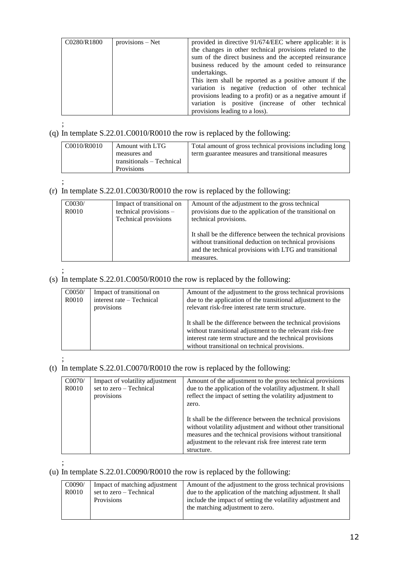| C0280/R1800 | provisions – Net | provided in directive 91/674/EEC where applicable: it is<br>the changes in other technical provisions related to the<br>sum of the direct business and the accepted reinsurance<br>business reduced by the amount ceded to reinsurance<br>undertakings.<br>This item shall be reported as a positive amount if the<br>variation is negative (reduction of other technical<br>provisions leading to a profit) or as a negative amount if<br>variation is positive (increase of other technical |
|-------------|------------------|-----------------------------------------------------------------------------------------------------------------------------------------------------------------------------------------------------------------------------------------------------------------------------------------------------------------------------------------------------------------------------------------------------------------------------------------------------------------------------------------------|
|             |                  | provisions leading to a loss).                                                                                                                                                                                                                                                                                                                                                                                                                                                                |

#### ; (q) In template S.22.01.C0010/R0010 the row is replaced by the following:

| C0010/R0010 | Amount with LTG           | Total amount of gross technical provisions including long |
|-------------|---------------------------|-----------------------------------------------------------|
|             | measures and              | term guarantee measures and transitional measures         |
|             | transitionals – Technical |                                                           |
|             | <b>Provisions</b>         |                                                           |

;

# (r) In template S.22.01.C0030/R0010 the row is replaced by the following:

| CO <sub>030</sub> /<br>R0010 | Impact of transitional on<br>technical provisions -<br>Technical provisions | Amount of the adjustment to the gross technical<br>provisions due to the application of the transitional on<br>technical provisions.                                                         |
|------------------------------|-----------------------------------------------------------------------------|----------------------------------------------------------------------------------------------------------------------------------------------------------------------------------------------|
|                              |                                                                             | It shall be the difference between the technical provisions<br>without transitional deduction on technical provisions<br>and the technical provisions with LTG and transitional<br>measures. |

;

#### (s) In template S.22.01.C0050/R0010 the row is replaced by the following:

| C0050/<br>R0010 | Impact of transitional on<br>interest rate – Technical<br>provisions | Amount of the adjustment to the gross technical provisions<br>due to the application of the transitional adjustment to the<br>relevant risk-free interest rate term structure.<br>It shall be the difference between the technical provisions<br>without transitional adjustment to the relevant risk-free<br>interest rate term structure and the technical provisions<br>without transitional on technical provisions. |
|-----------------|----------------------------------------------------------------------|--------------------------------------------------------------------------------------------------------------------------------------------------------------------------------------------------------------------------------------------------------------------------------------------------------------------------------------------------------------------------------------------------------------------------|
|                 |                                                                      |                                                                                                                                                                                                                                                                                                                                                                                                                          |

;

## (t) In template S.22.01.C0070/R0010 the row is replaced by the following:

| CO070/<br>R0010 | Impact of volatility adjustment<br>set to zero - Technical<br>provisions | Amount of the adjustment to the gross technical provisions<br>due to the application of the volatility adjustment. It shall<br>reflect the impact of setting the volatility adjustment to<br>zero.                                                                 |
|-----------------|--------------------------------------------------------------------------|--------------------------------------------------------------------------------------------------------------------------------------------------------------------------------------------------------------------------------------------------------------------|
|                 |                                                                          | It shall be the difference between the technical provisions<br>without volatility adjustment and without other transitional<br>measures and the technical provisions without transitional<br>adjustment to the relevant risk free interest rate term<br>structure. |

#### ; (u) In template S.22.01.C0090/R0010 the row is replaced by the following:

| C0090/<br>R0010 | Impact of matching adjustment<br>set to zero – Technical<br>Provisions | Amount of the adjustment to the gross technical provisions<br>due to the application of the matching adjustment. It shall<br>include the impact of setting the volatility adjustment and<br>the matching adjustment to zero. |
|-----------------|------------------------------------------------------------------------|------------------------------------------------------------------------------------------------------------------------------------------------------------------------------------------------------------------------------|
|                 |                                                                        |                                                                                                                                                                                                                              |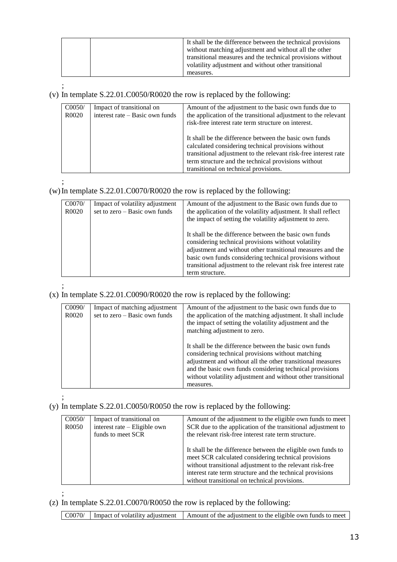|  | It shall be the difference between the technical provisions<br>without matching adjustment and without all the other<br>transitional measures and the technical provisions without<br>volatility adjustment and without other transitional<br>measures. |
|--|---------------------------------------------------------------------------------------------------------------------------------------------------------------------------------------------------------------------------------------------------------|
|--|---------------------------------------------------------------------------------------------------------------------------------------------------------------------------------------------------------------------------------------------------------|

;

## (v) In template S.22.01.C0050/R0020 the row is replaced by the following:

| CO <sub>050</sub> / | Impact of transitional on       | Amount of the adjustment to the basic own funds due to                                                                                                                                                                                                                           |
|---------------------|---------------------------------|----------------------------------------------------------------------------------------------------------------------------------------------------------------------------------------------------------------------------------------------------------------------------------|
| R0020               | interest rate – Basic own funds | the application of the transitional adjustment to the relevant                                                                                                                                                                                                                   |
|                     |                                 | risk-free interest rate term structure on interest.                                                                                                                                                                                                                              |
|                     |                                 | It shall be the difference between the basic own funds<br>calculated considering technical provisions without<br>transitional adjustment to the relevant risk-free interest rate<br>term structure and the technical provisions without<br>transitional on technical provisions. |
|                     |                                 |                                                                                                                                                                                                                                                                                  |

## (w)In template S.22.01.C0070/R0020 the row is replaced by the following:

| CO070/<br>R0020 | Impact of volatility adjustment<br>set to zero $-$ Basic own funds | Amount of the adjustment to the Basic own funds due to<br>the application of the volatility adjustment. It shall reflect<br>the impact of setting the volatility adjustment to zero.                                                                                                                                          |
|-----------------|--------------------------------------------------------------------|-------------------------------------------------------------------------------------------------------------------------------------------------------------------------------------------------------------------------------------------------------------------------------------------------------------------------------|
|                 |                                                                    | It shall be the difference between the basic own funds<br>considering technical provisions without volatility<br>adjustment and without other transitional measures and the<br>basic own funds considering technical provisions without<br>transitional adjustment to the relevant risk free interest rate<br>term structure. |

#### ; (x) In template S.22.01.C0090/R0020 the row is replaced by the following:

| C0090/<br>R0020 | Impact of matching adjustment<br>set to zero $-$ Basic own funds | Amount of the adjustment to the basic own funds due to<br>the application of the matching adjustment. It shall include<br>the impact of setting the volatility adjustment and the<br>matching adjustment to zero.                                                                                                  |
|-----------------|------------------------------------------------------------------|--------------------------------------------------------------------------------------------------------------------------------------------------------------------------------------------------------------------------------------------------------------------------------------------------------------------|
|                 |                                                                  | It shall be the difference between the basic own funds<br>considering technical provisions without matching<br>adjustment and without all the other transitional measures<br>and the basic own funds considering technical provisions<br>without volatility adjustment and without other transitional<br>measures. |

;

;

#### (y) In template S.22.01.C0050/R0050 the row is replaced by the following:

| CO <sub>050</sub> /<br>R <sub>0050</sub> | Impact of transitional on<br>interest rate – Eligible own<br>funds to meet SCR | Amount of the adjustment to the eligible own funds to meet<br>SCR due to the application of the transitional adjustment to<br>the relevant risk-free interest rate term structure.                                                                                                              |
|------------------------------------------|--------------------------------------------------------------------------------|-------------------------------------------------------------------------------------------------------------------------------------------------------------------------------------------------------------------------------------------------------------------------------------------------|
|                                          |                                                                                | It shall be the difference between the eligible own funds to<br>meet SCR calculated considering technical provisions<br>without transitional adjustment to the relevant risk-free<br>interest rate term structure and the technical provisions<br>without transitional on technical provisions. |

### (z) In template S.22.01.C0070/R0050 the row is replaced by the following: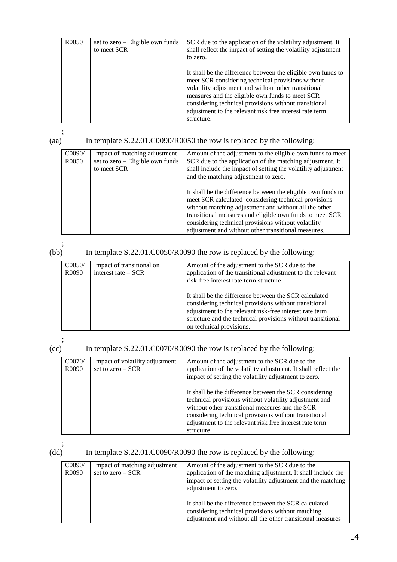| R <sub>0</sub> 050 | set to zero – Eligible own funds<br>to meet SCR | SCR due to the application of the volatility adjustment. It<br>shall reflect the impact of setting the volatility adjustment<br>to zero.                                                                                                                                                                                                                       |
|--------------------|-------------------------------------------------|----------------------------------------------------------------------------------------------------------------------------------------------------------------------------------------------------------------------------------------------------------------------------------------------------------------------------------------------------------------|
|                    |                                                 | It shall be the difference between the eligible own funds to<br>meet SCR considering technical provisions without<br>volatility adjustment and without other transitional<br>measures and the eligible own funds to meet SCR<br>considering technical provisions without transitional<br>adjustment to the relevant risk free interest rate term<br>structure. |

## (aa) In template S.22.01.C0090/R0050 the row is replaced by the following:

| C0090/ | Impact of matching adjustment                   | Amount of the adjustment to the eligible own funds to meet                                                                                                                                                                                                                                                                                              |
|--------|-------------------------------------------------|---------------------------------------------------------------------------------------------------------------------------------------------------------------------------------------------------------------------------------------------------------------------------------------------------------------------------------------------------------|
| R0050  | set to zero – Eligible own funds<br>to meet SCR | SCR due to the application of the matching adjustment. It<br>shall include the impact of setting the volatility adjustment<br>and the matching adjustment to zero.                                                                                                                                                                                      |
|        |                                                 | It shall be the difference between the eligible own funds to<br>meet SCR calculated considering technical provisions<br>without matching adjustment and without all the other<br>transitional measures and eligible own funds to meet SCR<br>considering technical provisions without volatility<br>adjustment and without other transitional measures. |

;

## (bb) In template S.22.01.C0050/R0090 the row is replaced by the following:

| CO <sub>050</sub> /<br>R <sub>0</sub> 090 | Impact of transitional on<br>interest rate $-$ SCR | Amount of the adjustment to the SCR due to the<br>application of the transitional adjustment to the relevant<br>risk-free interest rate term structure.                                                                                                              |
|-------------------------------------------|----------------------------------------------------|----------------------------------------------------------------------------------------------------------------------------------------------------------------------------------------------------------------------------------------------------------------------|
|                                           |                                                    | It shall be the difference between the SCR calculated<br>considering technical provisions without transitional<br>adjustment to the relevant risk-free interest rate term<br>structure and the technical provisions without transitional<br>on technical provisions. |

 $\begin{pmatrix} \cdot \\ \cdot \\ \cdot \end{pmatrix}$ 

### In template S.22.01.C0070/R0090 the row is replaced by the following:

| CO070/<br>R0090 | Impact of volatility adjustment<br>set to zero $-$ SCR | Amount of the adjustment to the SCR due to the<br>application of the volatility adjustment. It shall reflect the<br>impact of setting the volatility adjustment to zero.                                                                                                                              |
|-----------------|--------------------------------------------------------|-------------------------------------------------------------------------------------------------------------------------------------------------------------------------------------------------------------------------------------------------------------------------------------------------------|
|                 |                                                        | It shall be the difference between the SCR considering<br>technical provisions without volatility adjustment and<br>without other transitional measures and the SCR<br>considering technical provisions without transitional<br>adjustment to the relevant risk free interest rate term<br>structure. |

;

## (dd) In template S.22.01.C0090/R0090 the row is replaced by the following:

| C0090/<br>R0090 | Impact of matching adjustment<br>set to zero $-$ SCR | Amount of the adjustment to the SCR due to the<br>application of the matching adjustment. It shall include the<br>impact of setting the volatility adjustment and the matching |
|-----------------|------------------------------------------------------|--------------------------------------------------------------------------------------------------------------------------------------------------------------------------------|
|                 |                                                      | adjustment to zero.                                                                                                                                                            |
|                 |                                                      | It shall be the difference between the SCR calculated<br>considering technical provisions without matching<br>adjustment and without all the other transitional measures       |
|                 |                                                      |                                                                                                                                                                                |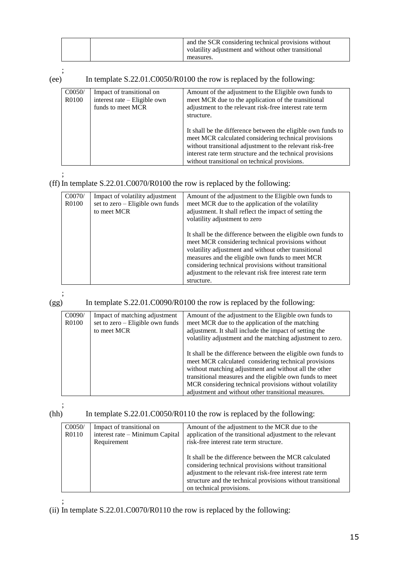| and the SCR considering technical provisions without<br>volatility adjustment and without other transitional |
|--------------------------------------------------------------------------------------------------------------|
| measures.                                                                                                    |

 $(ee)$ 

## In template S.22.01.C0050/R0100 the row is replaced by the following:

| C0050/<br>R0100 | Impact of transitional on<br>interest rate – Eligible own<br>funds to meet MCR | Amount of the adjustment to the Eligible own funds to<br>meet MCR due to the application of the transitional<br>adjustment to the relevant risk-free interest rate term<br>structure.                                                                                                           |
|-----------------|--------------------------------------------------------------------------------|-------------------------------------------------------------------------------------------------------------------------------------------------------------------------------------------------------------------------------------------------------------------------------------------------|
|                 |                                                                                | It shall be the difference between the eligible own funds to<br>meet MCR calculated considering technical provisions<br>without transitional adjustment to the relevant risk-free<br>interest rate term structure and the technical provisions<br>without transitional on technical provisions. |

;

## (ff) In template S.22.01.C0070/R0100 the row is replaced by the following:

| C0070/<br>R0100 | Impact of volatility adjustment<br>set to zero - Eligible own funds<br>to meet MCR | Amount of the adjustment to the Eligible own funds to<br>meet MCR due to the application of the volatility<br>adjustment. It shall reflect the impact of setting the<br>volatility adjustment to zero                                                                                                                                                          |
|-----------------|------------------------------------------------------------------------------------|----------------------------------------------------------------------------------------------------------------------------------------------------------------------------------------------------------------------------------------------------------------------------------------------------------------------------------------------------------------|
|                 |                                                                                    | It shall be the difference between the eligible own funds to<br>meet MCR considering technical provisions without<br>volatility adjustment and without other transitional<br>measures and the eligible own funds to meet MCR<br>considering technical provisions without transitional<br>adjustment to the relevant risk free interest rate term<br>structure. |

;

### (gg) In template S.22.01.C0090/R0100 the row is replaced by the following:

| C0090/<br>R0100 | Impact of matching adjustment<br>set to zero - Eligible own funds<br>to meet MCR | Amount of the adjustment to the Eligible own funds to<br>meet MCR due to the application of the matching<br>adjustment. It shall include the impact of setting the<br>volatility adjustment and the matching adjustment to zero.<br>It shall be the difference between the eligible own funds to<br>meet MCR calculated considering technical provisions<br>without matching adjustment and without all the other |
|-----------------|----------------------------------------------------------------------------------|-------------------------------------------------------------------------------------------------------------------------------------------------------------------------------------------------------------------------------------------------------------------------------------------------------------------------------------------------------------------------------------------------------------------|
|                 |                                                                                  | transitional measures and the eligible own funds to meet<br>MCR considering technical provisions without volatility                                                                                                                                                                                                                                                                                               |
|                 |                                                                                  | adjustment and without other transitional measures.                                                                                                                                                                                                                                                                                                                                                               |

 $(hh)$ 

In template  $S.22.01.C0050/R0110$  the row is replaced by the following:

| CO <sub>050</sub> /<br>R0110 | Impact of transitional on<br>interest rate – Minimum Capital<br>Requirement | Amount of the adjustment to the MCR due to the<br>application of the transitional adjustment to the relevant<br>risk-free interest rate term structure.                                                                                                              |
|------------------------------|-----------------------------------------------------------------------------|----------------------------------------------------------------------------------------------------------------------------------------------------------------------------------------------------------------------------------------------------------------------|
|                              |                                                                             | It shall be the difference between the MCR calculated<br>considering technical provisions without transitional<br>adjustment to the relevant risk-free interest rate term<br>structure and the technical provisions without transitional<br>on technical provisions. |

;

(ii) In template S.22.01.C0070/R0110 the row is replaced by the following: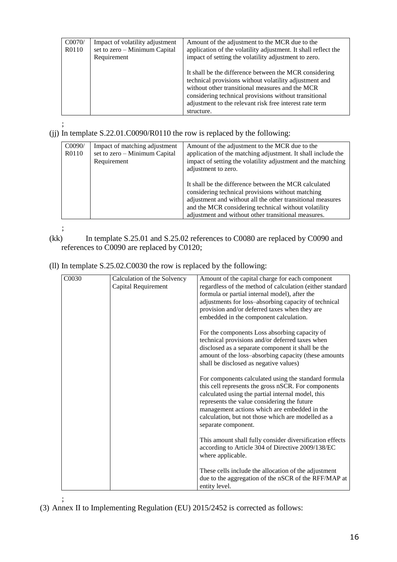| CO070/ | Impact of volatility adjustment | Amount of the adjustment to the MCR due to the                                                                                                                                                                                                                                                                                                                |
|--------|---------------------------------|---------------------------------------------------------------------------------------------------------------------------------------------------------------------------------------------------------------------------------------------------------------------------------------------------------------------------------------------------------------|
| R0110  | set to zero – Minimum Capital   | application of the volatility adjustment. It shall reflect the                                                                                                                                                                                                                                                                                                |
|        | Requirement                     | impact of setting the volatility adjustment to zero.<br>It shall be the difference between the MCR considering<br>technical provisions without volatility adjustment and<br>without other transitional measures and the MCR<br>considering technical provisions without transitional<br>adjustment to the relevant risk free interest rate term<br>structure. |

(jj) In template S.22.01.C0090/R0110 the row is replaced by the following:

| C0090/<br>R0110 | Impact of matching adjustment<br>set to zero – Minimum Capital<br>Requirement | Amount of the adjustment to the MCR due to the<br>application of the matching adjustment. It shall include the<br>impact of setting the volatility adjustment and the matching<br>adjustment to zero.                                                                                   |
|-----------------|-------------------------------------------------------------------------------|-----------------------------------------------------------------------------------------------------------------------------------------------------------------------------------------------------------------------------------------------------------------------------------------|
|                 |                                                                               | It shall be the difference between the MCR calculated<br>considering technical provisions without matching<br>adjustment and without all the other transitional measures<br>and the MCR considering technical without volatility<br>adjustment and without other transitional measures. |

;

- (kk) In template S.25.01 and S.25.02 references to C0080 are replaced by C0090 and references to C0090 are replaced by C0120;
- (ll) In template S.25.02.C0030 the row is replaced by the following:

| C0030 | Calculation of the Solvency | Amount of the capital charge for each component          |
|-------|-----------------------------|----------------------------------------------------------|
|       | Capital Requirement         | regardless of the method of calculation (either standard |
|       |                             | formula or partial internal model), after the            |
|       |                             | adjustments for loss-absorbing capacity of technical     |
|       |                             | provision and/or deferred taxes when they are            |
|       |                             | embedded in the component calculation.                   |
|       |                             | For the components Loss absorbing capacity of            |
|       |                             | technical provisions and/or deferred taxes when          |
|       |                             | disclosed as a separate component it shall be the        |
|       |                             | amount of the loss-absorbing capacity (these amounts     |
|       |                             | shall be disclosed as negative values)                   |
|       |                             | For components calculated using the standard formula     |
|       |                             | this cell represents the gross nSCR. For components      |
|       |                             | calculated using the partial internal model, this        |
|       |                             | represents the value considering the future              |
|       |                             | management actions which are embedded in the             |
|       |                             | calculation, but not those which are modelled as a       |
|       |                             | separate component.                                      |
|       |                             | This amount shall fully consider diversification effects |
|       |                             | according to Article 304 of Directive 2009/138/EC        |
|       |                             | where applicable.                                        |
|       |                             | These cells include the allocation of the adjustment     |
|       |                             | due to the aggregation of the nSCR of the RFF/MAP at     |
|       |                             | entity level.                                            |

; (3) Annex II to Implementing Regulation (EU) 2015/2452 is corrected as follows: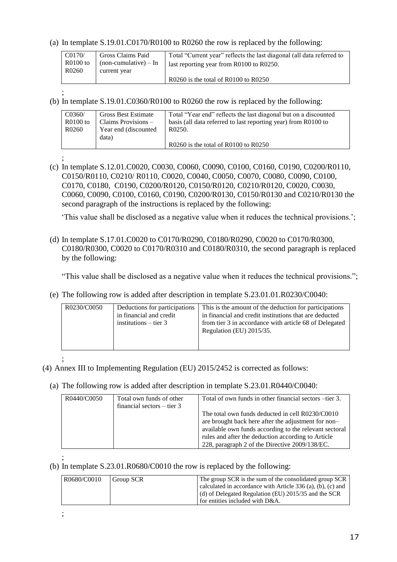(a) In template S.19.01.C0170/R0100 to R0260 the row is replaced by the following:

| CO170/<br>R0100 to<br>R0260 | <b>Gross Claims Paid</b><br>$non-cumulative) - In$<br>current year | Total "Current year" reflects the last diagonal (all data referred to<br>last reporting year from R0100 to R0250. |
|-----------------------------|--------------------------------------------------------------------|-------------------------------------------------------------------------------------------------------------------|
|                             |                                                                    | $R0260$ is the total of $R0100$ to $R0250$                                                                        |

(b) In template S.19.01.C0360/R0100 to R0260 the row is replaced by the following:

| C0360/     | <b>Gross Best Estimate</b> | Total "Year end" reflects the last diagonal but on a discounted |
|------------|----------------------------|-----------------------------------------------------------------|
| $R0100$ to | Claims Provisions –        | basis (all data referred to last reporting year) from R0100 to  |
| R0260      | Year end (discounted)      | R0250.                                                          |
|            | data)                      |                                                                 |
|            |                            | $R0260$ is the total of $R0100$ to $R0250$                      |

;

;

(c) In template S.12.01.C0020, C0030, C0060, C0090, C0100, C0160, C0190, C0200/R0110, C0150/R0110, C0210/ R0110, C0020, C0040, C0050, C0070, C0080, C0090, C0100, C0170, C0180, C0190, C0200/R0120, C0150/R0120, C0210/R0120, C0020, C0030, C0060, C0090, C0100, C0160, C0190, C0200/R0130, C0150/R0130 and C0210/R0130 the second paragraph of the instructions is replaced by the following:

'This value shall be disclosed as a negative value when it reduces the technical provisions.';

(d) In template S.17.01.C0020 to C0170/R0290, C0180/R0290, C0020 to C0170/R0300, C0180/R0300, C0020 to C0170/R0310 and C0180/R0310, the second paragraph is replaced by the following:

"This value shall be disclosed as a negative value when it reduces the technical provisions.";

(e) The following row is added after description in template S.23.01.01.R0230/C0040:

| R0230/C0050 | Deductions for participations<br>in financial and credit<br>institutions $-$ tier 3 | This is the amount of the deduction for participations<br>in financial and credit institutions that are deducted<br>from tier 3 in accordance with article 68 of Delegated<br>Regulation (EU) 2015/35. |
|-------------|-------------------------------------------------------------------------------------|--------------------------------------------------------------------------------------------------------------------------------------------------------------------------------------------------------|
|-------------|-------------------------------------------------------------------------------------|--------------------------------------------------------------------------------------------------------------------------------------------------------------------------------------------------------|

;

- (4) Annex III to Implementing Regulation (EU) 2015/2452 is corrected as follows:
	- (a) The following row is added after description in template S.23.01.R0440/C0040:

| R0440/C0050 | Total own funds of other<br>financial sectors $-$ tier 3 | Total of own funds in other financial sectors – tier 3.                                                                                                                                                                                                                   |
|-------------|----------------------------------------------------------|---------------------------------------------------------------------------------------------------------------------------------------------------------------------------------------------------------------------------------------------------------------------------|
|             |                                                          | The total own funds deducted in cell R0230/C0010<br>are brought back here after the adjustment for non-<br>available own funds according to the relevant sectoral<br>rules and after the deduction according to Article<br>228, paragraph 2 of the Directive 2009/138/EC. |

;

;

#### (b) In template S.23.01.R0680/C0010 the row is replaced by the following:

| R0680/C0010 | Group SCR | The group SCR is the sum of the consolidated group SCR<br>calculated in accordance with Article $336$ (a), (b), (c) and |
|-------------|-----------|-------------------------------------------------------------------------------------------------------------------------|
|             |           | (d) of Delegated Regulation (EU) 2015/35 and the SCR<br>for entities included with D&A.                                 |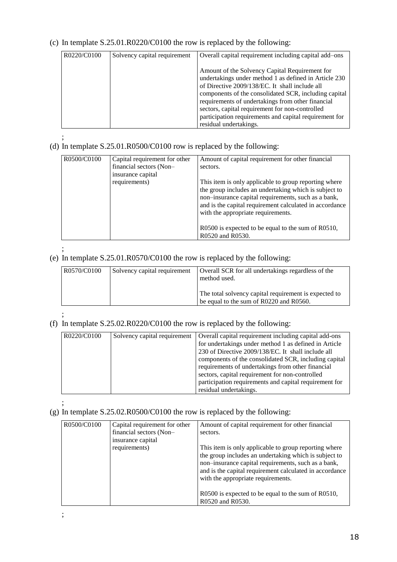## (c) In template S.25.01.R0220/C0100 the row is replaced by the following:

| R0220/C0100 | Solvency capital requirement | Overall capital requirement including capital add-ons                                                                                                                                                                                                                                                                                                                                                          |
|-------------|------------------------------|----------------------------------------------------------------------------------------------------------------------------------------------------------------------------------------------------------------------------------------------------------------------------------------------------------------------------------------------------------------------------------------------------------------|
|             |                              | Amount of the Solvency Capital Requirement for<br>undertakings under method 1 as defined in Article 230<br>of Directive 2009/138/EC. It shall include all<br>components of the consolidated SCR, including capital<br>requirements of undertakings from other financial<br>sectors, capital requirement for non-controlled<br>participation requirements and capital requirement for<br>residual undertakings. |

;

## (d) In template S.25.01.R0500/C0100 row is replaced by the following:

| R0500/C0100 | Capital requirement for other                | Amount of capital requirement for other financial                                                                                                                                                                                                                      |
|-------------|----------------------------------------------|------------------------------------------------------------------------------------------------------------------------------------------------------------------------------------------------------------------------------------------------------------------------|
|             | financial sectors (Non-<br>insurance capital | sectors.                                                                                                                                                                                                                                                               |
|             | requirements)                                | This item is only applicable to group reporting where<br>the group includes an undertaking which is subject to<br>non-insurance capital requirements, such as a bank,<br>and is the capital requirement calculated in accordance<br>with the appropriate requirements. |
|             |                                              | R0500 is expected to be equal to the sum of R0510,<br>R0520 and R0530.                                                                                                                                                                                                 |

;

## (e) In template S.25.01.R0570/C0100 the row is replaced by the following:

| R0570/C0100<br>Solvency capital requirement | Overall SCR for all undertakings regardless of the<br>method used.<br>The total solvency capital requirement is expected to<br>be equal to the sum of R0220 and R0560. |
|---------------------------------------------|------------------------------------------------------------------------------------------------------------------------------------------------------------------------|
|---------------------------------------------|------------------------------------------------------------------------------------------------------------------------------------------------------------------------|

#### ; (f) In template S.25.02.R0220/C0100 the row is replaced by the following:

| Solvency capital requirement | Overall capital requirement including capital add-ons  |
|------------------------------|--------------------------------------------------------|
|                              | for undertakings under method 1 as defined in Article  |
|                              | 230 of Directive 2009/138/EC. It shall include all     |
|                              | components of the consolidated SCR, including capital  |
|                              | requirements of undertakings from other financial      |
|                              | sectors, capital requirement for non-controlled        |
|                              | participation requirements and capital requirement for |
|                              | residual undertakings.                                 |
|                              |                                                        |

#### ; (g) In template S.25.02.R0500/C0100 the row is replaced by the following:

| R0500/C0100 | Capital requirement for other | Amount of capital requirement for other financial       |
|-------------|-------------------------------|---------------------------------------------------------|
|             | financial sectors (Non-       | sectors.                                                |
|             | insurance capital             |                                                         |
|             | requirements)                 | This item is only applicable to group reporting where   |
|             |                               | the group includes an undertaking which is subject to   |
|             |                               | non-insurance capital requirements, such as a bank,     |
|             |                               | and is the capital requirement calculated in accordance |
|             |                               | with the appropriate requirements.                      |
|             |                               |                                                         |
|             |                               | R0500 is expected to be equal to the sum of R0510,      |
|             |                               | R0520 and R0530.                                        |

;